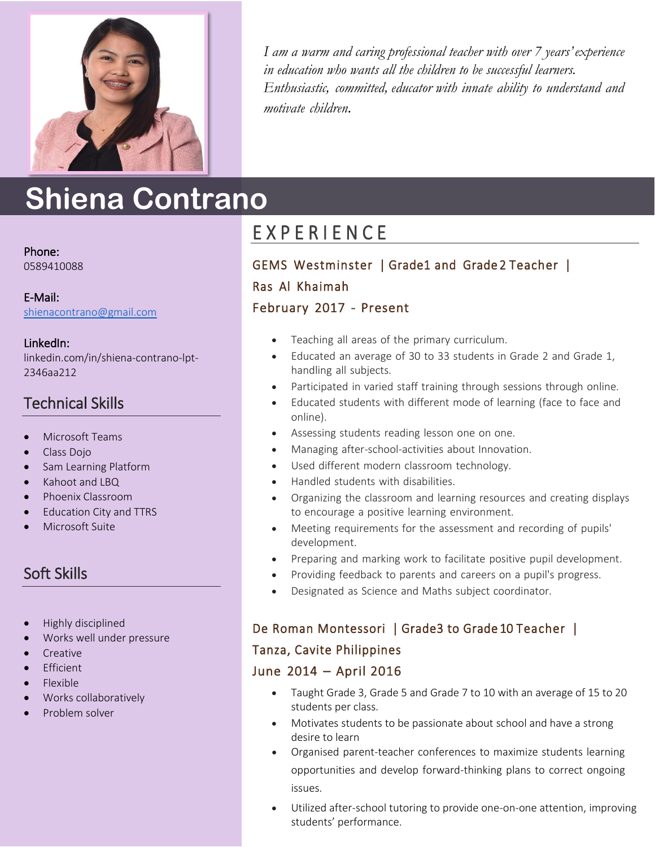

*I am a warm and caring professional teacher with over 7 years'experience in education who wants all the children to be successful learners. Enthusiastic, committed, educator with innate ability to understand and motivate children.*

# **Shiena Contrano**

Phone: 0589410088

E-Mail: [shienacontrano@gmail.com](mailto:shienacontrano@gmail.com)

LinkedIn: linkedin.com/in/shiena-contrano-lpt-2346aa212

## Technical Skills

- Microsoft Teams
- Class Dojo
- Sam Learning Platform
- Kahoot and LBQ
- Phoenix Classroom
- Education City and TTRS
- Microsoft Suite

## Soft Skills

- Highly disciplined
- Works well under pressure
- Creative
- Efficient
- Flexible
- Works collaboratively
- Problem solver

## E X P E R I E N C E

### GEMS Westminster | Grade1 and Grade 2 Teacher | Ras Al Khaimah

#### February 2017 - Present

- Teaching all areas of the primary curriculum.
- Educated an average of 30 to 33 students in Grade 2 and Grade 1, handling all subjects.
- Participated in varied staff training through sessions through online.
- Educated students with different mode of learning (face to face and online).
- Assessing students reading lesson one on one.
- Managing after-school-activities about Innovation.
- Used different modern classroom technology.
- Handled students with disabilities.
- Organizing the classroom and learning resources and creating displays to encourage a positive learning environment.
- Meeting requirements for the assessment and recording of pupils' development.
- Preparing and marking work to facilitate positive pupil development.
- Providing feedback to parents and careers on a pupil's progress.
- Designated as Science and Maths subject coordinator.

#### De Roman Montessori | Grade3 to Grade 10 Teacher |

#### Tanza, Cavite Philippines

#### June 2014 – April 2016

- Taught Grade 3, Grade 5 and Grade 7 to 10 with an average of 15 to 20 students per class.
- Motivates students to be passionate about school and have a strong desire to learn
- Organised parent-teacher conferences to maximize students learning opportunities and develop forward-thinking plans to correct ongoing issues.
- Utilized after-school tutoring to provide one-on-one attention, improving students' performance.